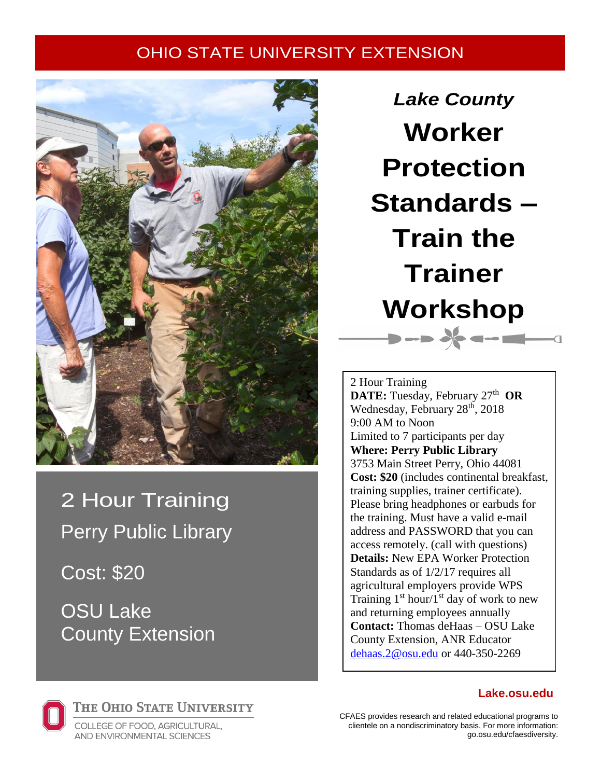## OHIO STATE UNIVERSITY EXTENSION



2 Hour Training Perry Public Library

Cost: \$20

OSU Lake County Extension

*Lake County* **Worker Protection Standards – Train the Trainer Workshop**  $\rightarrow$  ->  $\frac{1}{2}$  --  $\blacksquare$ 

2 Hour Training **DATE:** Tuesday, February 27<sup>th</sup> OR Wednesday, February 28<sup>th</sup>, 2018 9:00 AM to Noon Limited to 7 participants per day **Where: Perry Public Library**  3753 Main Street Perry, Ohio 44081 **Cost: \$20** (includes continental breakfast, training supplies, trainer certificate). Please bring headphones or earbuds for the training. Must have a valid e-mail address and PASSWORD that you can access remotely. (call with questions) **Details:** New EPA Worker Protection Standards as of 1/2/17 requires all agricultural employers provide WPS Training  $1<sup>st</sup> hour/1<sup>st</sup> day of work to new$ and returning employees annually **Contact:** Thomas deHaas – OSU Lake County Extension, ANR Educator [dehaas.2@osu.edu](mailto:dehaas.2@osu.edu) or 440-350-2269



THE OHIO STATE UNIVERSITY

COLLEGE OF FOOD, AGRICULTURAL, AND ENVIRONMENTAL SCIENCES

CFAES provides research and related educational programs to clientele on a nondiscriminatory basis. For more information: go.osu.edu/cfaesdiversity.

## **Lake.osu.edu**

 $\overline{a}$